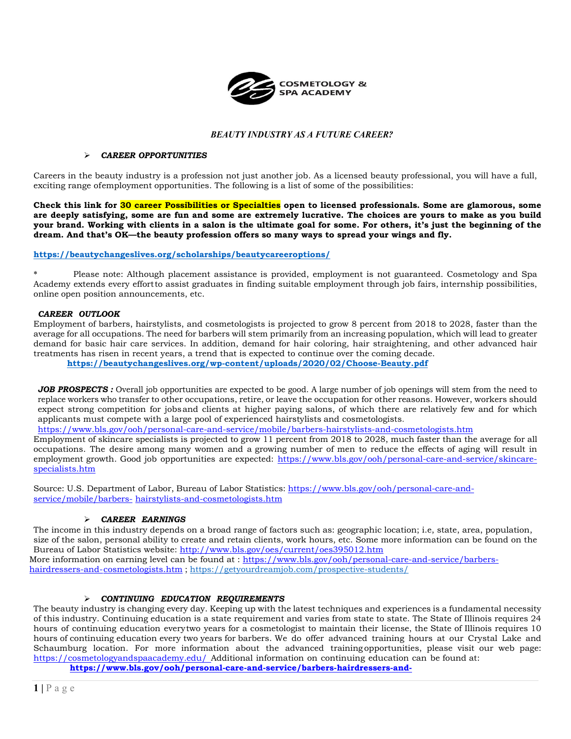

# *BEAUTY INDUSTRY AS A FUTURE CAREER?*

#### *CAREER OPPORTUNITIES*

Careers in the beauty industry is a profession not just another job. As a licensed beauty professional, you will have a full, exciting range ofemployment opportunities. The following is a list of some of the possibilities:

**Check this link for 30 career Possibilities or Specialties open to licensed professionals. Some are glamorous, some are deeply satisfying, some are fun and some are extremely lucrative. The choices are yours to make as you build your brand. Working with clients in a salon is the ultimate goal for some. For others, it's just the beginning of the dream. And that's OK—the beauty profession offers so many ways to spread your wings and fly.**

### **<https://beautychangeslives.org/scholarships/beautycareeroptions/>**

\* Please note: Although placement assistance is provided, employment is not guaranteed. Cosmetology and Spa Academy extends every effortto assist graduates in finding suitable employment through job fairs, internship possibilities, online open position announcements, etc.

### *CAREER OUTLOOK*

Employment of barbers, hairstylists, and cosmetologists is projected to grow 8 percent from 2018 to 2028, faster than the average for all occupations. The need for barbers will stem primarily from an increasing population, which will lead to greater demand for basic hair care services. In addition, demand for hair coloring, hair straightening, and other advanced hair treatments has risen in recent years, a trend that is expected to continue over the coming decade.

**<https://beautychangeslives.org/wp-content/uploads/2020/02/Choose-Beauty.pdf>**

JOB PROSPECTS : Overall job opportunities are expected to be good. A large number of job openings will stem from the need to replace workers who transfer to other occupations, retire, or leave the occupation for other reasons. However, workers should expect strong competition for jobsand clients at higher paying salons, of which there are relatively few and for which applicants must compete with a large pool of experienced hairstylists and cosmetologists.

<https://www.bls.gov/ooh/personal-care-and-service/mobile/barbers-hairstylists-and-cosmetologists.htm>

Employment of skincare specialists is projected to grow 11 percent from 2018 to 2028, much faster than the average for all occupations. The desire among many women and a growing number of men to reduce the effects of aging will result in employment growth. Good job opportunities are expected: [https://www.bls.gov/ooh/personal-care-and-service/skincare](https://www.bls.gov/ooh/personal-care-and-service/skincare-specialists.htm)[specialists.htm](https://www.bls.gov/ooh/personal-care-and-service/skincare-specialists.htm)

Source: U.S. Department of Labor, Bureau of Labor Statistics: [https://www.bls.gov/ooh/personal-care-and](https://www.bls.gov/ooh/personal-care-and-service/mobile/barbers-hairstylists-and-cosmetologists.htm)[service/mobile/barbers-](https://www.bls.gov/ooh/personal-care-and-service/mobile/barbers-hairstylists-and-cosmetologists.htm) [hairstylists-and-cosmetologists.htm](https://www.bls.gov/ooh/personal-care-and-service/mobile/barbers-hairstylists-and-cosmetologists.htm)

### *CAREER EARNINGS*

The income in this industry depends on a broad range of factors such as: geographic location; i.e, state, area, population, size of the salon, personal ability to create and retain clients, work hours, etc. Some more information can be found on the Bureau of Labor Statistics website: <http://www.bls.gov/oes/current/oes395012.htm> More information on earning level can be found at : [https://www.bls.gov/ooh/personal-care-and-service/barbers](https://www.bls.gov/ooh/personal-care-and-service/barbers-hairdressers-and-cosmetologists.htm)[hairdressers-and-cosmetologists.htm](https://www.bls.gov/ooh/personal-care-and-service/barbers-hairdressers-and-cosmetologists.htm) ; <https://getyourdreamjob.com/prospective-students/>

### *CONTINUING EDUCATION REQUIREMENTS*

The beauty industry is changing every day. Keeping up with the latest techniques and experiences is a fundamental necessity of this industry. Continuing education is a state requirement and varies from state to state. The State of Illinois requires 24 hours of continuing education everytwo years for a cosmetologist to maintain their license, the State of Illinois requires 10 hours of continuing education every two years for barbers. We do offer advanced training hours at our Crystal Lake and Schaumburg location. For more information about the advanced training opportunities, please visit our web page: <https://cosmetologyandspaacademy.edu/> Additional information on continuing education can be found at:

**[https://www.bls.gov/ooh/personal-care-and-service/barbers-hairdressers-and-](https://www.bls.gov/ooh/personal-care-and-service/barbers-hairdressers-and-cosmetologists.htm)**